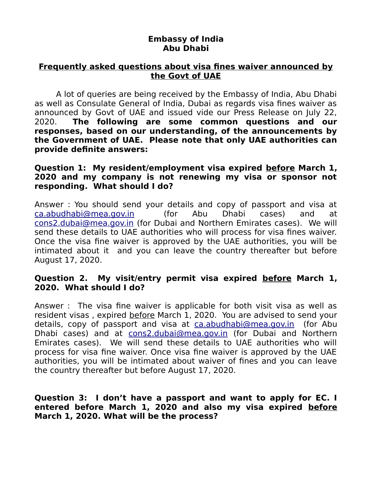# **Embassy of India Abu Dhabi**

# **Frequently asked questions about visa fines waiver announced by the Govt of UAE**

A lot of queries are being received by the Embassy of India, Abu Dhabi as well as Consulate General of India, Dubai as regards visa fines waiver as announced by Govt of UAE and issued vide our Press Release on July 22, 2020. **The following are some common questions and our responses, based on our understanding, of the announcements by the Government of UAE. Please note that only UAE authorities can provide definite answers:**

## **Question 1: My resident/employment visa expired before March 1, 2020 and my company is not renewing my visa or sponsor not responding. What should I do?**

Answer : You should send your details and copy of passport and visa at [ca.abudhabi@mea.gov.in](mailto:ca.abudhabi@mea.gov.in) (for Abu Dhabi cases) and at [cons2.dubai@mea.gov.in](mailto:cons2.dubai@mea.gov.in) (for Dubai and Northern Emirates cases). We will send these details to UAE authorities who will process for visa fines waiver. Once the visa fine waiver is approved by the UAE authorities, you will be intimated about it and you can leave the country thereafter but before August 17, 2020.

# **Question 2. My visit/entry permit visa expired before March 1, 2020. What should I do?**

Answer : The visa fine waiver is applicable for both visit visa as well as resident visas , expired before March 1, 2020. You are advised to send your details, copy of passport and visa at [ca.abudhabi@mea.gov.in](mailto:ca.abudhabi@mea.gov.in) (for Abu Dhabi cases) and at [cons2.dubai@mea.gov.in](mailto:cons2.dubai@mea.gov.in) (for Dubai and Northern Emirates cases). We will send these details to UAE authorities who will process for visa fine waiver. Once visa fine waiver is approved by the UAE authorities, you will be intimated about waiver of fines and you can leave the country thereafter but before August 17, 2020.

## **Question 3: I don't have a passport and want to apply for EC. I entered before March 1, 2020 and also my visa expired before March 1, 2020. What will be the process?**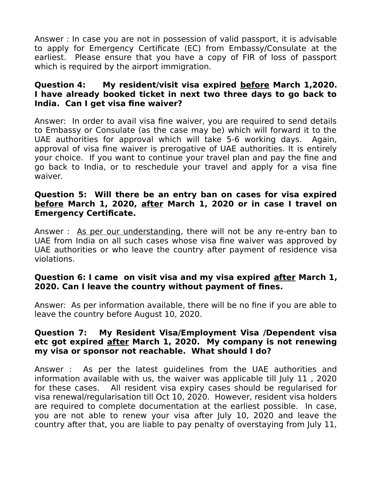Answer : In case you are not in possession of valid passport, it is advisable to apply for Emergency Certificate (EC) from Embassy/Consulate at the earliest. Please ensure that you have a copy of FIR of loss of passport which is required by the airport immigration.

# **Question 4: My resident/visit visa expired before March 1,2020. I have already booked ticket in next two three days to go back to India. Can I get visa fine waiver?**

Answer: In order to avail visa fine waiver, you are required to send details to Embassy or Consulate (as the case may be) which will forward it to the UAE authorities for approval which will take 5-6 working days. Again, approval of visa fine waiver is prerogative of UAE authorities. It is entirely your choice. If you want to continue your travel plan and pay the fine and go back to India, or to reschedule your travel and apply for a visa fine waiver.

# **Question 5: Will there be an entry ban on cases for visa expired before March 1, 2020, after March 1, 2020 or in case I travel on Emergency Certificate.**

Answer : As per our understanding, there will not be any re-entry ban to UAE from India on all such cases whose visa fine waiver was approved by UAE authorities or who leave the country after payment of residence visa violations.

# **Question 6: I came on visit visa and my visa expired after March 1, 2020. Can I leave the country without payment of fines.**

Answer: As per information available, there will be no fine if you are able to leave the country before August 10, 2020.

# **Question 7: My Resident Visa/Employment Visa /Dependent visa etc got expired after March 1, 2020. My company is not renewing my visa or sponsor not reachable. What should I do?**

Answer : As per the latest guidelines from the UAE authorities and information available with us, the waiver was applicable till July 11 , 2020 for these cases. All resident visa expiry cases should be regularised for visa renewal/regularisation till Oct 10, 2020. However, resident visa holders are required to complete documentation at the earliest possible. In case, you are not able to renew your visa after July 10, 2020 and leave the country after that, you are liable to pay penalty of overstaying from July 11,